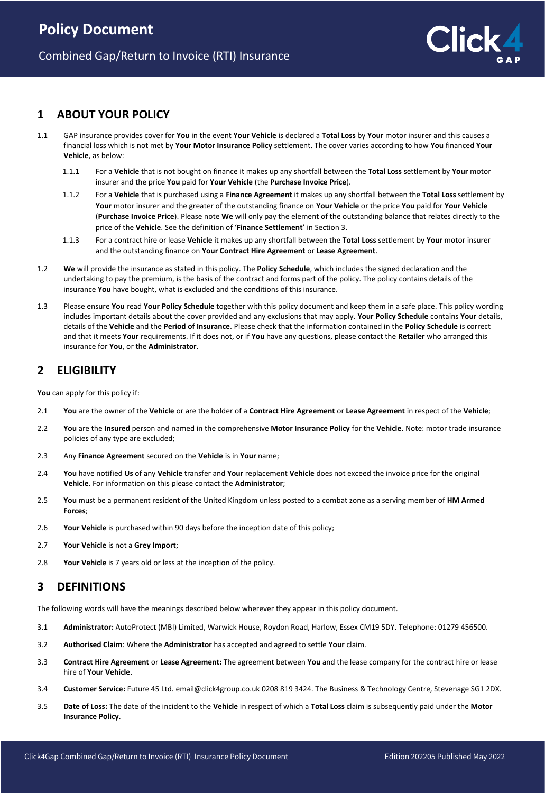

### **1 ABOUT YOUR POLICY**

- 1.1 GAP insurance provides cover for **You** in the event **Your Vehicle** is declared a **Total Loss** by **Your** motor insurer and this causes a financial loss which is not met by **Your Motor Insurance Policy** settlement. The cover varies according to how **You** financed **Your Vehicle**, as below:
	- 1.1.1 For a **Vehicle** that is not bought on finance it makes up any shortfall between the **Total Loss** settlement by **Your** motor insurer and the price **You** paid for **Your Vehicle** (the **Purchase Invoice Price**).
	- 1.1.2 For a **Vehicle** that is purchased using a **Finance Agreement** it makes up any shortfall between the **Total Loss** settlement by **Your** motor insurer and the greater of the outstanding finance on **Your Vehicle** or the price **You** paid for **Your Vehicle** (**Purchase Invoice Price**). Please note **We** will only pay the element of the outstanding balance that relates directly to the price of the **Vehicle**. See the definition of '**Finance Settlement**' in Section 3.
	- 1.1.3 For a contract hire or lease **Vehicle** it makes up any shortfall between the **Total Loss** settlement by **Your** motor insurer and the outstanding finance on **Your Contract Hire Agreement** or **Lease Agreement**.
- 1.2 **We** will provide the insurance as stated in this policy. The **Policy Schedule**, which includes the signed declaration and the undertaking to pay the premium, is the basis of the contract and forms part of the policy. The policy contains details of the insurance **You** have bought, what is excluded and the conditions of this insurance.
- 1.3 Please ensure **You** read **Your Policy Schedule** together with this policy document and keep them in a safe place. This policy wording includes important details about the cover provided and any exclusions that may apply. **Your Policy Schedule** contains **Your** details, details of the **Vehicle** and the **Period of Insurance**. Please check that the information contained in the **Policy Schedule** is correct and that it meets **Your** requirements. If it does not, or if **You** have any questions, please contact the **Retailer** who arranged this insurance for **You**, or the **Administrator**.

# **2 ELIGIBILITY**

**You** can apply for this policy if:

- 2.1 **You** are the owner of the **Vehicle** or are the holder of a **Contract Hire Agreement** or **Lease Agreement** in respect of the **Vehicle**;
- 2.2 **You** are the **Insured** person and named in the comprehensive **Motor Insurance Policy** for the **Vehicle**. Note: motor trade insurance policies of any type are excluded;
- 2.3 Any **Finance Agreement** secured on the **Vehicle** is in **Your** name;
- 2.4 **You** have notified **Us** of any **Vehicle** transfer and **Your** replacement **Vehicle** does not exceed the invoice price for the original **Vehicle**. For information on this please contact the **Administrator**;
- 2.5 **You** must be a permanent resident of the United Kingdom unless posted to a combat zone as a serving member of **HM Armed Forces**;
- 2.6 **Your Vehicle** is purchased within 90 days before the inception date of this policy;
- 2.7 **Your Vehicle** is not a **Grey Import**;
- 2.8 **Your Vehicle** is 7 years old or less at the inception of the policy.

### **3 DEFINITIONS**

The following words will have the meanings described below wherever they appear in this policy document.

- 3.1 **Administrator:** AutoProtect (MBI) Limited, Warwick House, Roydon Road, Harlow, Essex CM19 5DY. Telephone: 01279 456500.
- 3.2 **Authorised Claim**: Where the **Administrator** has accepted and agreed to settle **Your** claim.
- 3.3 **Contract Hire Agreement** or **Lease Agreement:** The agreement between **You** and the lease company for the contract hire or lease hire of **Your Vehicle**.
- 3.4 **Customer Service:** Future 45 Ltd. email@click4group.co.uk 0208 819 3424. The Business & Technology Centre, Stevenage SG1 2DX.
- 3.5 **Date of Loss:** The date of the incident to the **Vehicle** in respect of which a **Total Loss** claim is subsequently paid under the **Motor Insurance Policy**.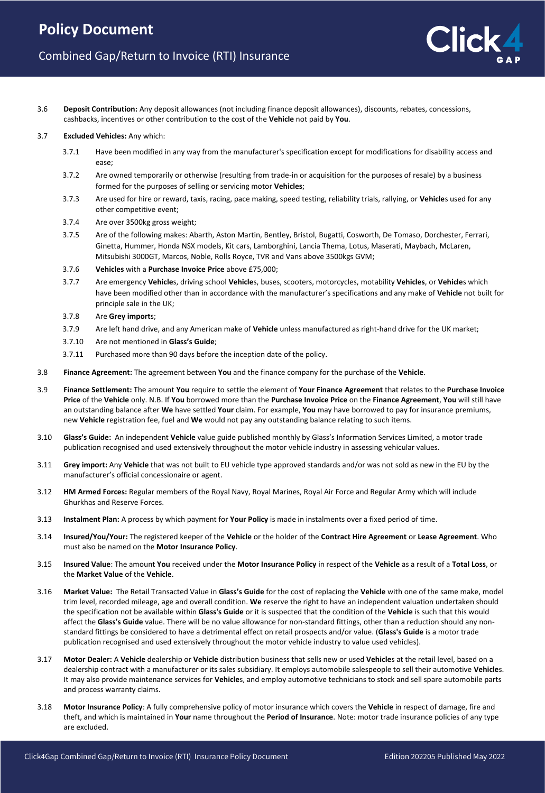3.6 **Deposit Contribution:** Any deposit allowances (not including finance deposit allowances), discounts, rebates, concessions, cashbacks, incentives or other contribution to the cost of the **Vehicle** not paid by **You**.

#### 3.7 **Excluded Vehicles:** Any which:

- 3.7.1 Have been modified in any way from the manufacturer's specification except for modifications for disability access and ease;
- 3.7.2 Are owned temporarily or otherwise (resulting from trade-in or acquisition for the purposes of resale) by a business formed for the purposes of selling or servicing motor **Vehicles**;
- 3.7.3 Are used for hire or reward, taxis, racing, pace making, speed testing, reliability trials, rallying, or **Vehicle**s used for any other competitive event;
- 3.7.4 Are over 3500kg gross weight;
- 3.7.5 Are of the following makes: Abarth, Aston Martin, Bentley, Bristol, Bugatti, Cosworth, De Tomaso, Dorchester, Ferrari, Ginetta, Hummer, Honda NSX models, Kit cars, Lamborghini, Lancia Thema, Lotus, Maserati, Maybach, McLaren, Mitsubishi 3000GT, Marcos, Noble, Rolls Royce, TVR and Vans above 3500kgs GVM;
- 3.7.6 **Vehicles** with a **Purchase Invoice Price** above £75,000;
- 3.7.7 Are emergency **Vehicle**s, driving school **Vehicle**s, buses, scooters, motorcycles, motability **Vehicles**, or **Vehicle**s which have been modified other than in accordance with the manufacturer's specifications and any make of **Vehicle** not built for principle sale in the UK;
- 3.7.8 Are **Grey import**s;
- 3.7.9 Are left hand drive, and any American make of **Vehicle** unless manufactured as right-hand drive for the UK market;
- 3.7.10 Are not mentioned in **Glass's Guide**;
- 3.7.11 Purchased more than 90 days before the inception date of the policy.
- 3.8 **Finance Agreement:** The agreement between **You** and the finance company for the purchase of the **Vehicle**.
- 3.9 **Finance Settlement:** The amount **You** require to settle the element of **Your Finance Agreement** that relates to the **Purchase Invoice Price** of the **Vehicle** only. N.B. If **You** borrowed more than the **Purchase Invoice Price** on the **Finance Agreement**, **You** will still have an outstanding balance after **We** have settled **Your** claim. For example, **You** may have borrowed to pay for insurance premiums, new **Vehicle** registration fee, fuel and **We** would not pay any outstanding balance relating to such items.
- 3.10 **Glass's Guide:** An independent **Vehicle** value guide published monthly by Glass's Information Services Limited, a motor trade publication recognised and used extensively throughout the motor vehicle industry in assessing vehicular values.
- 3.11 **Grey import:** Any **Vehicle** that was not built to EU vehicle type approved standards and/or was not sold as new in the EU by the manufacturer's official concessionaire or agent.
- 3.12 **HM Armed Forces:** Regular members of the Royal Navy, Royal Marines, Royal Air Force and Regular Army which will include Ghurkhas and Reserve Forces.
- 3.13 **Instalment Plan:** A process by which payment for **Your Policy** is made in instalments over a fixed period of time.
- 3.14 **Insured/You/Your:** The registered keeper of the **Vehicle** or the holder of the **Contract Hire Agreement** or **Lease Agreement**. Who must also be named on the **Motor Insurance Policy**.
- 3.15 **Insured Value**: The amount **You** received under the **Motor Insurance Policy** in respect of the **Vehicle** as a result of a **Total Loss**, or the **Market Value** of the **Vehicle**.
- 3.16 **Market Value:** The Retail Transacted Value in **Glass's Guide** for the cost of replacing the **Vehicle** with one of the same make, model trim level, recorded mileage, age and overall condition. **We** reserve the right to have an independent valuation undertaken should the specification not be available within **Glass's Guide** or it is suspected that the condition of the **Vehicle** is such that this would affect the **Glass's Guide** value. There will be no value allowance for non-standard fittings, other than a reduction should any nonstandard fittings be considered to have a detrimental effect on retail prospects and/or value. (**Glass's Guide** is a motor trade publication recognised and used extensively throughout the motor vehicle industry to value used vehicles).
- 3.17 **Motor Dealer:** A **Vehicle** dealership or **Vehicle** distribution business that sells new or used **Vehicle**s at the retail level, based on a dealership contract with a manufacturer or its sales subsidiary. It employs automobile salespeople to sell their automotive **Vehicle**s. It may also provide maintenance services for **Vehicle**s, and employ automotive technicians to stock and sell spare automobile parts and process warranty claims.
- 3.18 **Motor Insurance Policy**: A fully comprehensive policy of motor insurance which covers the **Vehicle** in respect of damage, fire and theft, and which is maintained in **Your** name throughout the **Period of Insurance**. Note: motor trade insurance policies of any type are excluded.

lick.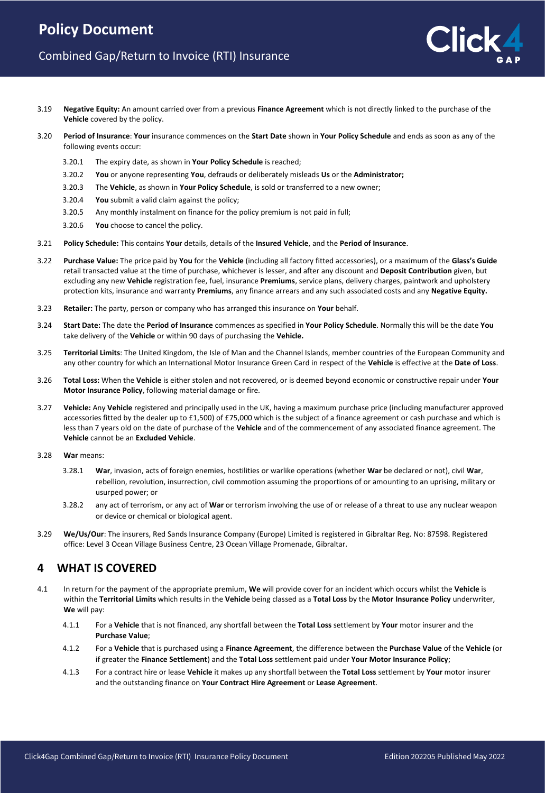- 3.19 **Negative Equity:** An amount carried over from a previous **Finance Agreement** which is not directly linked to the purchase of the **Vehicle** covered by the policy.
- 3.20 **Period of Insurance**: **Your** insurance commences on the **Start Date** shown in **Your Policy Schedule** and ends as soon as any of the following events occur:
	- 3.20.1 The expiry date, as shown in **Your Policy Schedule** is reached;
	- 3.20.2 **You** or anyone representing **You**, defrauds or deliberately misleads **Us** or the **Administrator;**
	- 3.20.3 The **Vehicle**, as shown in **Your Policy Schedule**, is sold or transferred to a new owner;
	- 3.20.4 **You** submit a valid claim against the policy;
	- 3.20.5 Any monthly instalment on finance for the policy premium is not paid in full;
	- 3.20.6 **You** choose to cancel the policy.
- 3.21 **Policy Schedule:** This contains **Your** details, details of the **Insured Vehicle**, and the **Period of Insurance**.
- 3.22 **Purchase Value:** The price paid by **You** for the **Vehicle** (including all factory fitted accessories), or a maximum of the **Glass's Guide**  retail transacted value at the time of purchase, whichever is lesser, and after any discount and **Deposit Contribution** given, but excluding any new **Vehicle** registration fee, fuel, insurance **Premiums**, service plans, delivery charges, paintwork and upholstery protection kits, insurance and warranty **Premiums**, any finance arrears and any such associated costs and any **Negative Equity.**
- 3.23 **Retailer:** The party, person or company who has arranged this insurance on **Your** behalf.
- 3.24 **Start Date:** The date the **Period of Insurance** commences as specified in **Your Policy Schedule**. Normally this will be the date **You** take delivery of the **Vehicle** or within 90 days of purchasing the **Vehicle.**
- 3.25 **Territorial Limits**: The United Kingdom, the Isle of Man and the Channel Islands, member countries of the European Community and any other country for which an International Motor Insurance Green Card in respect of the **Vehicle** is effective at the **Date of Loss**.
- 3.26 **Total Loss:** When the **Vehicle** is either stolen and not recovered, or is deemed beyond economic or constructive repair under **Your Motor Insurance Policy**, following material damage or fire.
- 3.27 **Vehicle:** Any **Vehicle** registered and principally used in the UK, having a maximum purchase price (including manufacturer approved accessories fitted by the dealer up to £1,500) of £75,000 which is the subject of a finance agreement or cash purchase and which is less than 7 years old on the date of purchase of the **Vehicle** and of the commencement of any associated finance agreement. The **Vehicle** cannot be an **Excluded Vehicle**.
- 3.28 **War** means:
	- 3.28.1 **War**, invasion, acts of foreign enemies, hostilities or warlike operations (whether **War** be declared or not), civil **War**, rebellion, revolution, insurrection, civil commotion assuming the proportions of or amounting to an uprising, military or usurped power; or
	- 3.28.2 any act of terrorism, or any act of **War** or terrorism involving the use of or release of a threat to use any nuclear weapon or device or chemical or biological agent.
- 3.29 **We/Us/Our**: The insurers, Red Sands Insurance Company (Europe) Limited is registered in Gibraltar Reg. No: 87598. Registered office: Level 3 Ocean Village Business Centre, 23 Ocean Village Promenade, Gibraltar.

### **4 WHAT IS COVERED**

- 4.1 In return for the payment of the appropriate premium, **We** will provide cover for an incident which occurs whilst the **Vehicle** is within the **Territorial Limits** which results in the **Vehicle** being classed as a **Total Loss** by the **Motor Insurance Policy** underwriter, **We** will pay:
	- 4.1.1 For a **Vehicle** that is not financed, any shortfall between the **Total Loss** settlement by **Your** motor insurer and the **Purchase Value**;
	- 4.1.2 For a **Vehicle** that is purchased using a **Finance Agreement**, the difference between the **Purchase Value** of the **Vehicle** (or if greater the **Finance Settlement**) and the **Total Loss** settlement paid under **Your Motor Insurance Policy**;
	- 4.1.3 For a contract hire or lease **Vehicle** it makes up any shortfall between the **Total Loss** settlement by **Your** motor insurer and the outstanding finance on **Your Contract Hire Agreement** or **Lease Agreement**.

**lick**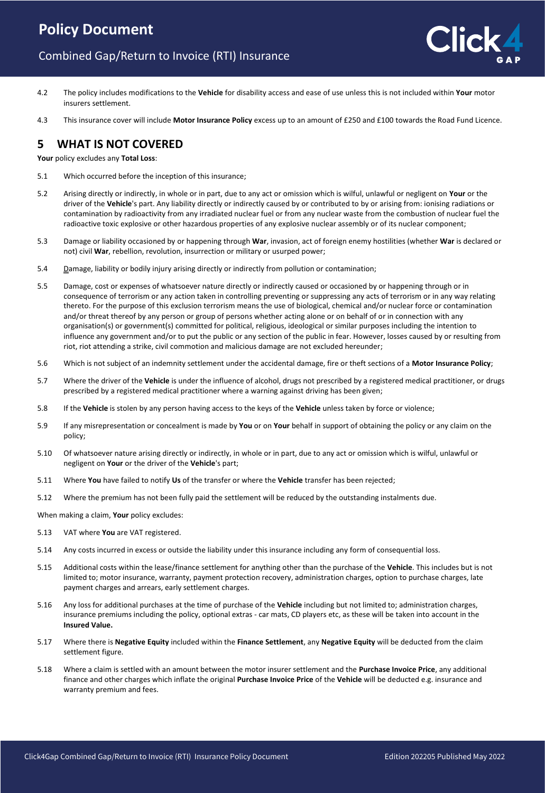# **Policy Document**

# Combined Gap/Return to Invoice (RTI) Insurance

- 
- 4.2 The policy includes modifications to the **Vehicle** for disability access and ease of use unless this is not included within **Your** motor insurers settlement.
- 4.3 This insurance cover will include **Motor Insurance Policy** excess up to an amount of £250 and £100 towards the Road Fund Licence.

### **5 WHAT IS NOT COVERED**

**Your** policy excludes any **Total Loss**:

- 5.1 Which occurred before the inception of this insurance;
- 5.2 Arising directly or indirectly, in whole or in part, due to any act or omission which is wilful, unlawful or negligent on **Your** or the driver of the **Vehicle**'s part. Any liability directly or indirectly caused by or contributed to by or arising from: ionising radiations or contamination by radioactivity from any irradiated nuclear fuel or from any nuclear waste from the combustion of nuclear fuel the radioactive toxic explosive or other hazardous properties of any explosive nuclear assembly or of its nuclear component;
- 5.3 Damage or liability occasioned by or happening through **War**, invasion, act of foreign enemy hostilities (whether **War** is declared or not) civil **War**, rebellion, revolution, insurrection or military or usurped power;
- 5.4 **Damage, liability or bodily injury arising directly or indirectly from pollution or contamination;**
- 5.5 Damage, cost or expenses of whatsoever nature directly or indirectly caused or occasioned by or happening through or in consequence of terrorism or any action taken in controlling preventing or suppressing any acts of terrorism or in any way relating thereto. For the purpose of this exclusion terrorism means the use of biological, chemical and/or nuclear force or contamination and/or threat thereof by any person or group of persons whether acting alone or on behalf of or in connection with any organisation(s) or government(s) committed for political, religious, ideological or similar purposes including the intention to influence any government and/or to put the public or any section of the public in fear. However, losses caused by or resulting from riot, riot attending a strike, civil commotion and malicious damage are not excluded hereunder;
- 5.6 Which is not subject of an indemnity settlement under the accidental damage, fire or theft sections of a **Motor Insurance Policy**;
- 5.7 Where the driver of the **Vehicle** is under the influence of alcohol, drugs not prescribed by a registered medical practitioner, or drugs prescribed by a registered medical practitioner where a warning against driving has been given;
- 5.8 If the **Vehicle** is stolen by any person having access to the keys of the **Vehicle** unless taken by force or violence;
- 5.9 If any misrepresentation or concealment is made by **You** or on **Your** behalf in support of obtaining the policy or any claim on the policy;
- 5.10 Of whatsoever nature arising directly or indirectly, in whole or in part, due to any act or omission which is wilful, unlawful or negligent on **Your** or the driver of the **Vehicle**'s part;
- 5.11 Where **You** have failed to notify **Us** of the transfer or where the **Vehicle** transfer has been rejected;
- 5.12 Where the premium has not been fully paid the settlement will be reduced by the outstanding instalments due.

When making a claim, **Your** policy excludes:

- 5.13 VAT where **You** are VAT registered.
- 5.14 Any costs incurred in excess or outside the liability under this insurance including any form of consequential loss.
- 5.15 Additional costs within the lease/finance settlement for anything other than the purchase of the **Vehicle**. This includes but is not limited to; motor insurance, warranty, payment protection recovery, administration charges, option to purchase charges, late payment charges and arrears, early settlement charges.
- 5.16 Any loss for additional purchases at the time of purchase of the **Vehicle** including but not limited to; administration charges, insurance premiums including the policy, optional extras - car mats, CD players etc, as these will be taken into account in the **Insured Value.**
- 5.17 Where there is **Negative Equity** included within the **Finance Settlement**, any **Negative Equity** will be deducted from the claim settlement figure.
- 5.18 Where a claim is settled with an amount between the motor insurer settlement and the **Purchase Invoice Price**, any additional finance and other charges which inflate the original **Purchase Invoice Price** of the **Vehicle** will be deducted e.g. insurance and warranty premium and fees.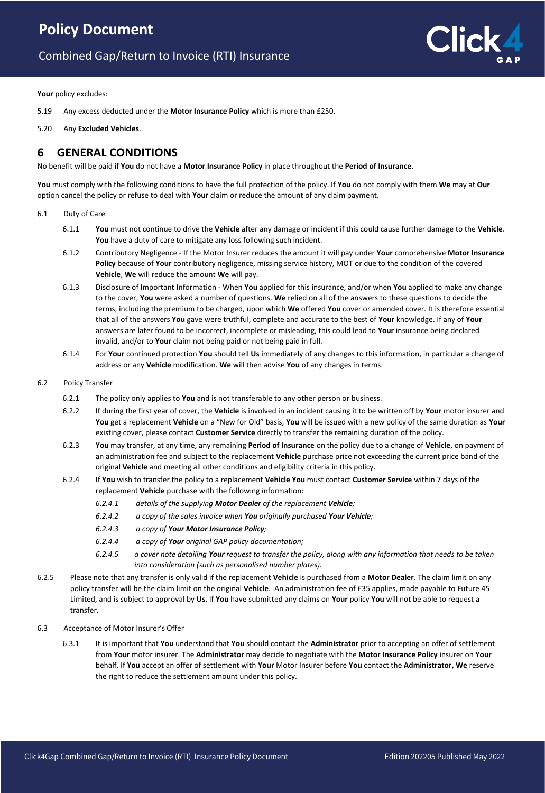# **Policy Document**

# Combined Gap/Return to Invoice (RTI) Insurance



**Your** policy excludes:

- 5.19 Any excess deducted under the **Motor Insurance Policy** which is more than £250.
- 5.20 Any **Excluded Vehicles**.

### **6 GENERAL CONDITIONS**

No benefit will be paid if **You** do not have a **Motor Insurance Policy** in place throughout the **Period of Insurance**.

**You** must comply with the following conditions to have the full protection of the policy. If **You** do not comply with them **We** may at **Our** option cancel the policy or refuse to deal with **Your** claim or reduce the amount of any claim payment.

- 6.1 Duty of Care
	- 6.1.1 **You** must not continue to drive the **Vehicle** after any damage or incident if this could cause further damage to the **Vehicle**. You have a duty of care to mitigate any loss following such incident.
	- 6.1.2 Contributory Negligence If the Motor Insurer reduces the amount it will pay under **Your** comprehensive **Motor Insurance Policy** because of **Your** contributory negligence, missing service history, MOT or due to the condition of the covered **Vehicle**, **We** will reduce the amount **We** will pay.
	- 6.1.3 Disclosure of Important Information When **You** applied for this insurance, and/or when **You** applied to make any change to the cover, **You** were asked a number of questions. **We** relied on all of the answers to these questions to decide the terms, including the premium to be charged, upon which **We** offered **You** cover or amended cover. It is therefore essential that all of the answers **You** gave were truthful, complete and accurate to the best of **Your** knowledge. If any of **Your** answers are later found to be incorrect, incomplete or misleading, this could lead to **Your** insurance being declared invalid, and/or to **Your** claim not being paid or not being paid in full.
	- 6.1.4 For **Your** continued protection **You** should tell **Us** immediately of any changes to this information, in particular a change of address or any **Vehicle** modification. **We** will then advise **You** of any changes in terms.
- 6.2 Policy Transfer
	- 6.2.1 The policy only applies to **You** and is not transferable to any other person or business.
	- 6.2.2 If during the first year of cover, the **Vehicle** is involved in an incident causing it to be written off by **Your** motor insurer and **You** get a replacement **Vehicle** on a "New for Old" basis, **You** will be issued with a new policy of the same duration as **Your** existing cover, please contact **Customer Service** directly to transfer the remaining duration of the policy.
	- 6.2.3 **You** may transfer, at any time, any remaining **Period of Insurance** on the policy due to a change of **Vehicle**, on payment of an administration fee and subject to the replacement **Vehicle** purchase price not exceeding the current price band of the original **Vehicle** and meeting all other conditions and eligibility criteria in this policy.
	- 6.2.4 If **You** wish to transfer the policy to a replacement **Vehicle You** must contact **Customer Service** within 7 days of the replacement **Vehicle** purchase with the following information:
		- *6.2.4.1 details of the supplying Motor Dealer of the replacement Vehicle;*
		- *6.2.4.2 a copy of the sales invoice when You originally purchased Your Vehicle;*
		- *6.2.4.3 a copy of Your Motor Insurance Policy;*
		- *6.2.4.4 a copy of Your original GAP policy documentation;*
		- *6.2.4.5 a cover note detailing Your request to transfer the policy, along with any information that needs to be taken into consideration (such as personalised number plates).*
- 6.2.5 Please note that any transfer is only valid if the replacement **Vehicle** is purchased from a **Motor Dealer**. The claim limit on any policy transfer will be the claim limit on the original **Vehicle**. An administration fee of £35 applies, made payable to Future 45 Limited, and is subject to approval by **Us**. If **You** have submitted any claims on **Your** policy **You** will not be able to request a transfer.
- 6.3 Acceptance of Motor Insurer's Offer
	- 6.3.1 It is important that **You** understand that **You** should contact the **Administrator** prior to accepting an offer of settlement from **Your** motor insurer. The **Administrator** may decide to negotiate with the **Motor Insurance Policy** insurer on **Your** behalf. If **You** accept an offer of settlement with **Your** Motor Insurer before **You** contact the **Administrator, We** reserve the right to reduce the settlement amount under this policy.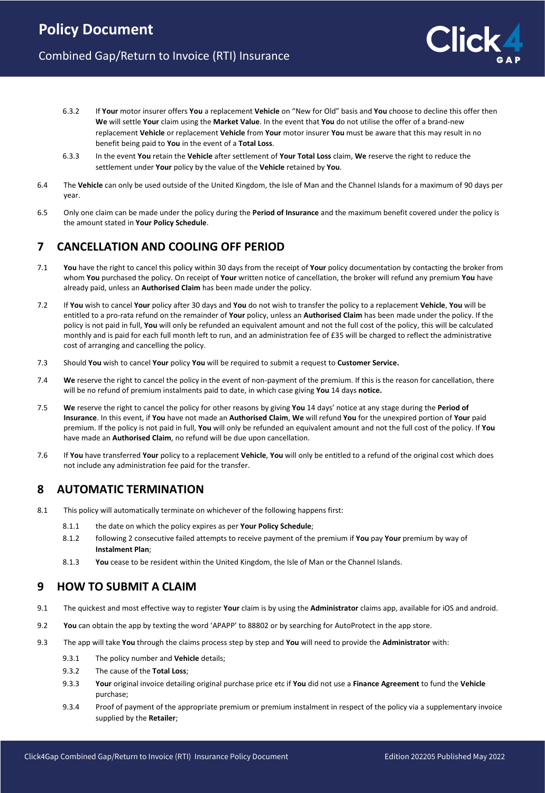- 6.3.2 If **Your** motor insurer offers **You** a replacement **Vehicle** on "New for Old" basis and **You** choose to decline this offer then **We** will settle **Your** claim using the **Market Value**. In the event that **You** do not utilise the offer of a brand-new replacement **Vehicle** or replacement **Vehicle** from **Your** motor insurer **You** must be aware that this may result in no benefit being paid to **You** in the event of a **Total Loss**.
- 6.3.3 In the event **You** retain the **Vehicle** after settlement of **Your Total Loss** claim, **We** reserve the right to reduce the settlement under **Your** policy by the value of the **Vehicle** retained by **You**.
- 6.4 The **Vehicle** can only be used outside of the United Kingdom, the Isle of Man and the Channel Islands for a maximum of 90 days per year.
- 6.5 Only one claim can be made under the policy during the **Period of Insurance** and the maximum benefit covered under the policy is the amount stated in **Your Policy Schedule**.

# **7 CANCELLATION AND COOLING OFF PERIOD**

- 7.1 **You** have the right to cancel this policy within 30 days from the receipt of **Your** policy documentation by contacting the broker from whom **You** purchased the policy. On receipt of **Your** written notice of cancellation, the broker will refund any premium **You** have already paid, unless an **Authorised Claim** has been made under the policy.
- 7.2 If **You** wish to cancel **Your** policy after 30 days and **You** do not wish to transfer the policy to a replacement **Vehicle**, **You** will be entitled to a pro-rata refund on the remainder of **Your** policy, unless an **Authorised Claim** has been made under the policy. If the policy is not paid in full, **You** will only be refunded an equivalent amount and not the full cost of the policy, this will be calculated monthly and is paid for each full month left to run, and an administration fee of £35 will be charged to reflect the administrative cost of arranging and cancelling the policy.
- 7.3 Should **You** wish to cancel **Your** policy **You** will be required to submit a request to **Customer Service.**
- 7.4 **We** reserve the right to cancel the policy in the event of non-payment of the premium. If this is the reason for cancellation, there will be no refund of premium instalments paid to date, in which case giving **You** 14 days **notice.**
- 7.5 **We** reserve the right to cancel the policy for other reasons by giving **You** 14 days' notice at any stage during the **Period of Insurance**. In this event, if **You** have not made an **Authorised Claim**, **We** will refund **You** for the unexpired portion of **Your** paid premium. If the policy is not paid in full, **You** will only be refunded an equivalent amount and not the full cost of the policy. If **You** have made an **Authorised Claim**, no refund will be due upon cancellation.
- 7.6 If **You** have transferred **Your** policy to a replacement **Vehicle**, **You** will only be entitled to a refund of the original cost which does not include any administration fee paid for the transfer.

### **8 AUTOMATIC TERMINATION**

- 8.1 This policy will automatically terminate on whichever of the following happens first:
	- 8.1.1 the date on which the policy expires as per **Your Policy Schedule**;
	- 8.1.2 following 2 consecutive failed attempts to receive payment of the premium if **You** pay **Your** premium by way of **Instalment Plan**;
	- 8.1.3 **You** cease to be resident within the United Kingdom, the Isle of Man or the Channel Islands.

### **9 HOW TO SUBMIT A CLAIM**

- 9.1 The quickest and most effective way to register **Your** claim is by using the **Administrator** claims app, available for iOS and android.
- 9.2 **You** can obtain the app by texting the word 'APAPP' to 88802 or by searching for AutoProtect in the app store.
- 9.3 The app will take **You** through the claims process step by step and **You** will need to provide the **Administrator** with:
	- 9.3.1 The policy number and **Vehicle** details;
	- 9.3.2 The cause of the **Total Loss**;
	- 9.3.3 **Your** original invoice detailing original purchase price etc if **You** did not use a **Finance Agreement** to fund the **Vehicle** purchase;
	- 9.3.4 Proof of payment of the appropriate premium or premium instalment in respect of the policy via a supplementary invoice supplied by the **Retailer**;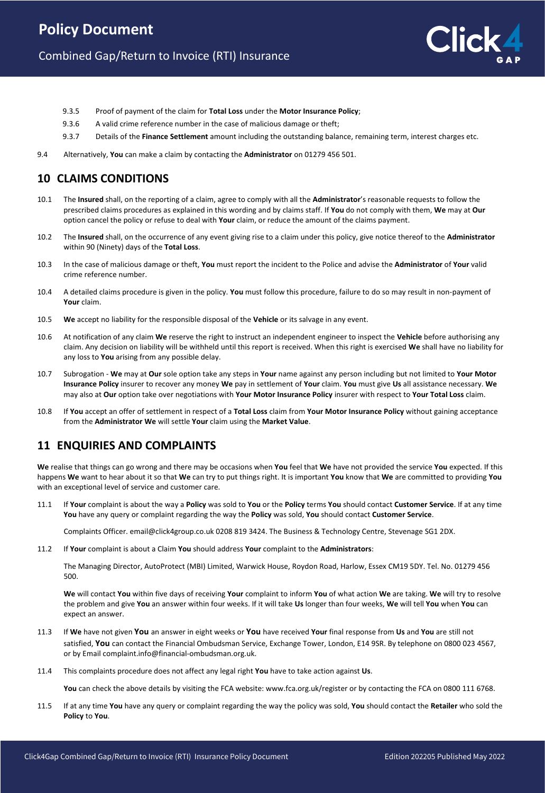

- 9.3.5 Proof of payment of the claim for **Total Loss** under the **Motor Insurance Policy**;
- 9.3.6 A valid crime reference number in the case of malicious damage or theft;
- 9.3.7 Details of the **Finance Settlement** amount including the outstanding balance, remaining term, interest charges etc.
- 9.4 Alternatively, **You** can make a claim by contacting the **Administrator** on 01279 456 501.

# **10 CLAIMS CONDITIONS**

- 10.1 The **Insured** shall, on the reporting of a claim, agree to comply with all the **Administrator**'s reasonable requests to follow the prescribed claims procedures as explained in this wording and by claims staff. If **You** do not comply with them, **We** may at **Our** option cancel the policy or refuse to deal with **Your** claim, or reduce the amount of the claims payment.
- 10.2 The **Insured** shall, on the occurrence of any event giving rise to a claim under this policy, give notice thereof to the **Administrator** within 90 (Ninety) days of the **Total Loss**.
- 10.3 In the case of malicious damage or theft, **You** must report the incident to the Police and advise the **Administrator** of **Your** valid crime reference number.
- 10.4 A detailed claims procedure is given in the policy. **You** must follow this procedure, failure to do so may result in non-payment of **Your** claim.
- 10.5 **We** accept no liability for the responsible disposal of the **Vehicle** or its salvage in any event.
- 10.6 At notification of any claim **We** reserve the right to instruct an independent engineer to inspect the **Vehicle** before authorising any claim. Any decision on liability will be withheld until this report is received. When this right is exercised **We** shall have no liability for any loss to **You** arising from any possible delay.
- 10.7 Subrogation **We** may at **Our** sole option take any steps in **Your** name against any person including but not limited to **Your Motor Insurance Policy** insurer to recover any money **We** pay in settlement of **Your** claim. **You** must give **Us** all assistance necessary. **We** may also at **Our** option take over negotiations with **Your Motor Insurance Policy** insurer with respect to **Your Total Loss** claim.
- 10.8 If **You** accept an offer of settlement in respect of a **Total Loss** claim from **Your Motor Insurance Policy** without gaining acceptance from the **Administrator We** will settle **Your** claim using the **Market Value**.

# **11 ENQUIRIES AND COMPLAINTS**

**We** realise that things can go wrong and there may be occasions when **You** feel that **We** have not provided the service **You** expected. If this happens **We** want to hear about it so that **We** can try to put things right. It is important **You** know that **We** are committed to providing **You** with an exceptional level of service and customer care.

11.1 If **Your** complaint is about the way a **Policy** was sold to **You** or the **Policy** terms **You** should contact **Customer Service**. If at any time **You** have any query or complaint regarding the way the **Policy** was sold, **You** should contact **Customer Service**.

Complaints Officer. email@click4group.co.uk 0208 819 3424. The Business & Technology Centre, Stevenage SG1 2DX.

11.2 If **Your** complaint is about a Claim **You** should address **Your** complaint to the **Administrators**:

The Managing Director, AutoProtect (MBI) Limited, Warwick House, Roydon Road, Harlow, Essex CM19 5DY. Tel. No. 01279 456 500.

**We** will contact **You** within five days of receiving **Your** complaint to inform **You** of what action **We** are taking. **We** will try to resolve the problem and give **You** an answer within four weeks. If it will take **Us** longer than four weeks, **We** will tell **You** when **You** can expect an answer.

- 11.3 If **We** have not given **You** an answer in eight weeks or **You** have received **Your** final response from **Us** and **You** are still not satisfied, **You** can contact the Financial Ombudsman Service, Exchange Tower, London, E14 9SR. By telephone on 0800 023 4567, or by Email complaint.info@financial-ombudsman.org.uk.
- 11.4 This complaints procedure does not affect any legal right **You** have to take action against **Us**.

**You** can check the above details by visiting the FCA website: www.fca.org.uk/register or by contacting the FCA on 0800 111 6768.

11.5 If at any time **You** have any query or complaint regarding the way the policy was sold, **You** should contact the **Retailer** who sold the **Policy** to **You**.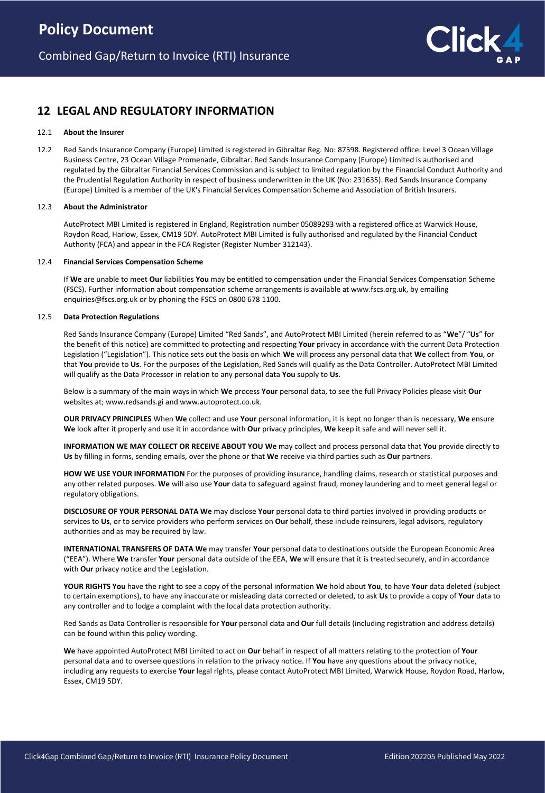

# **12 LEGAL AND REGULATORY INFORMATION**

### 12.1 **About the Insurer**

12.2 Red Sands Insurance Company (Europe) Limited is registered in Gibraltar Reg. No: 87598. Registered office: Level 3 Ocean Village Business Centre, 23 Ocean Village Promenade, Gibraltar. Red Sands Insurance Company (Europe) Limited is authorised and regulated by the Gibraltar Financial Services Commission and is subject to limited regulation by the Financial Conduct Authority and the Prudential Regulation Authority in respect of business underwritten in the UK (No: 231635). Red Sands Insurance Company (Europe) Limited is a member of the UK's Financial Services Compensation Scheme and Association of British Insurers.

### 12.3 **About the Administrator**

AutoProtect MBI Limited is registered in England, Registration number 05089293 with a registered office at Warwick House, Roydon Road, Harlow, Essex, CM19 5DY. AutoProtect MBI Limited is fully authorised and regulated by the Financial Conduct Authority (FCA) and appear in the FCA Register (Register Number 312143).

#### 12.4 **Financial Services Compensation Scheme**

If **We** are unable to meet **Our** liabilities **You** may be entitled to compensation under the Financial Services Compensation Scheme (FSCS). Further information about compensation scheme arrangements is available at www.fscs.org.uk, by emailing enquiries@fscs.org.uk or by phoning the FSCS on 0800 678 1100.

### 12.5 **Data Protection Regulations**

Red Sands Insurance Company (Europe) Limited "Red Sands", and AutoProtect MBI Limited (herein referred to as "**We**"/ "**Us**" for the benefit of this notice) are committed to protecting and respecting **Your** privacy in accordance with the current Data Protection Legislation ("Legislation"). This notice sets out the basis on which **We** will process any personal data that **We** collect from **You**, or that **You** provide to **Us**. For the purposes of the Legislation, Red Sands will qualify as the Data Controller. AutoProtect MBI Limited will qualify as the Data Processor in relation to any personal data **You** supply to **Us**.

Below is a summary of the main ways in which **We** process **Your** personal data, to see the full Privacy Policies please visit **Our** websites at; www.redsands.gi and www.autoprotect.co.uk.

**OUR PRIVACY PRINCIPLES** When **We** collect and use **Your** personal information, it is kept no longer than is necessary, **We** ensure **We** look after it properly and use it in accordance with **Our** privacy principles, **We** keep it safe and will never sell it.

**INFORMATION WE MAY COLLECT OR RECEIVE ABOUT YOU We** may collect and process personal data that **You** provide directly to **Us** by filling in forms, sending emails, over the phone or that **We** receive via third parties such as **Our** partners.

**HOW WE USE YOUR INFORMATION** For the purposes of providing insurance, handling claims, research or statistical purposes and any other related purposes. **We** will also use **Your** data to safeguard against fraud, money laundering and to meet general legal or regulatory obligations.

**DISCLOSURE OF YOUR PERSONAL DATA We** may disclose **Your** personal data to third parties involved in providing products or services to **Us**, or to service providers who perform services on **Our** behalf, these include reinsurers, legal advisors, regulatory authorities and as may be required by law.

**INTERNATIONAL TRANSFERS OF DATA We** may transfer **Your** personal data to destinations outside the European Economic Area ("EEA"). Where **We** transfer **Your** personal data outside of the EEA, **We** will ensure that it is treated securely, and in accordance with **Our** privacy notice and the Legislation.

**YOUR RIGHTS You** have the right to see a copy of the personal information **We** hold about **You**, to have **Your** data deleted (subject to certain exemptions), to have any inaccurate or misleading data corrected or deleted, to ask **Us** to provide a copy of **Your** data to any controller and to lodge a complaint with the local data protection authority.

Red Sands as Data Controller is responsible for **Your** personal data and **Our** full details (including registration and address details) can be found within this policy wording.

**We** have appointed AutoProtect MBI Limited to act on **Our** behalf in respect of all matters relating to the protection of **Your** personal data and to oversee questions in relation to the privacy notice. If **You** have any questions about the privacy notice, including any requests to exercise **Your** legal rights, please contact AutoProtect MBI Limited, Warwick House, Roydon Road, Harlow, Essex, CM19 5DY.